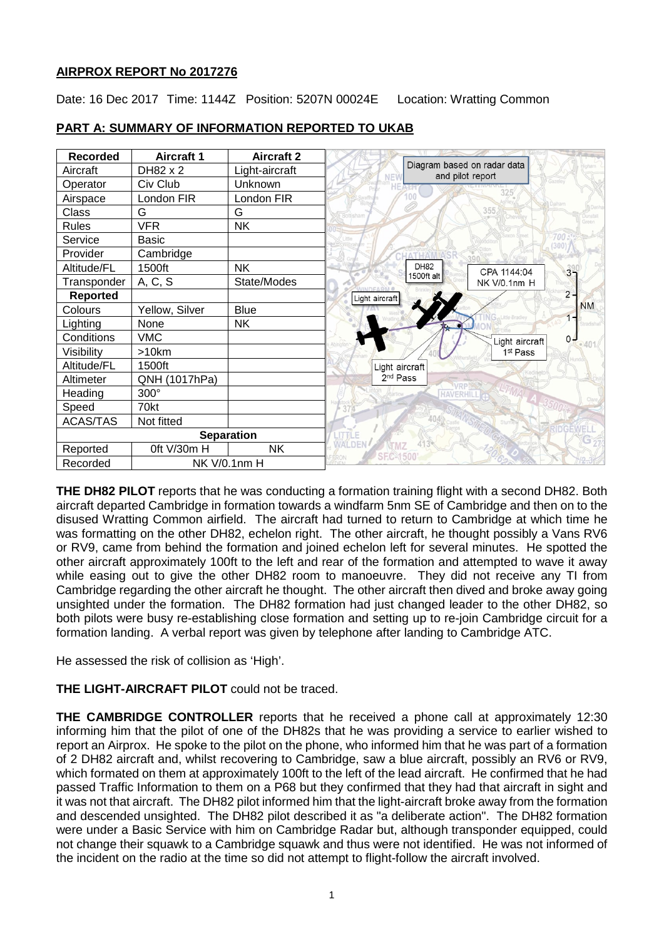## **AIRPROX REPORT No 2017276**

Date: 16 Dec 2017 Time: 1144Z Position: 5207N 00024E Location: Wratting Common

| <b>Recorded</b>   | <b>Aircraft 1</b> | <b>Aircraft 2</b> |                                  |                                                 |                        |                |
|-------------------|-------------------|-------------------|----------------------------------|-------------------------------------------------|------------------------|----------------|
| Aircraft          | DH82 x 2          | Light-aircraft    |                                  | Diagram based on radar data<br>and pilot report |                        |                |
| Operator          | Civ Club          | Unknown           |                                  |                                                 |                        |                |
| Airspace          | London FIR        | London FIR        |                                  |                                                 |                        |                |
| Class             | G                 | G                 |                                  |                                                 | 355                    |                |
| <b>Rules</b>      | <b>VFR</b>        | <b>NK</b>         |                                  |                                                 |                        |                |
| Service           | <b>Basic</b>      |                   |                                  |                                                 |                        | (300)          |
| Provider          | Cambridge         |                   |                                  |                                                 |                        |                |
| Altitude/FL       | 1500ft            | <b>NK</b>         |                                  | <b>DH82</b>                                     | CPA 1144:04            | 3 <sup>9</sup> |
| Transponder       | A, C, S           | State/Modes       |                                  | 1500ft alt                                      | NK V/0.1nm H           |                |
| <b>Reported</b>   |                   |                   | Light aircraft                   |                                                 |                        | $2 -$          |
| Colours           | Yellow, Silver    | <b>Blue</b>       |                                  |                                                 |                        | <b>NM</b>      |
| Lighting          | None              | <b>NK</b>         |                                  |                                                 |                        |                |
| Conditions        | <b>VMC</b>        |                   |                                  |                                                 | Light aircraft $\vert$ | $0 -$<br>2401  |
| Visibility        | >10km             |                   |                                  |                                                 | 1st Pass               |                |
| Altitude/FL       | 1500ft            |                   | Light aircraft                   |                                                 |                        |                |
| Altimeter         | QNH (1017hPa)     |                   | 2 <sup>nd</sup> Pass             |                                                 |                        |                |
| Heading           | 300°              |                   |                                  | HAVERHI                                         |                        |                |
| Speed             | 70kt              |                   |                                  |                                                 |                        |                |
| <b>ACAS/TAS</b>   | Not fitted        |                   |                                  |                                                 |                        |                |
| <b>Separation</b> |                   |                   |                                  |                                                 |                        |                |
| Reported          | Oft V/30m H       | <b>NK</b>         | <b>WALDE!</b><br><b>SEC-1500</b> |                                                 |                        |                |
| Recorded          | NK V/0.1nm H      |                   |                                  |                                                 |                        |                |

## **PART A: SUMMARY OF INFORMATION REPORTED TO UKAB**

**THE DH82 PILOT** reports that he was conducting a formation training flight with a second DH82. Both aircraft departed Cambridge in formation towards a windfarm 5nm SE of Cambridge and then on to the disused Wratting Common airfield. The aircraft had turned to return to Cambridge at which time he was formatting on the other DH82, echelon right. The other aircraft, he thought possibly a Vans RV6 or RV9, came from behind the formation and joined echelon left for several minutes. He spotted the other aircraft approximately 100ft to the left and rear of the formation and attempted to wave it away while easing out to give the other DH82 room to manoeuvre. They did not receive any TI from Cambridge regarding the other aircraft he thought. The other aircraft then dived and broke away going unsighted under the formation. The DH82 formation had just changed leader to the other DH82, so both pilots were busy re-establishing close formation and setting up to re-join Cambridge circuit for a formation landing. A verbal report was given by telephone after landing to Cambridge ATC.

He assessed the risk of collision as 'High'.

# **THE LIGHT-AIRCRAFT PILOT** could not be traced.

**THE CAMBRIDGE CONTROLLER** reports that he received a phone call at approximately 12:30 informing him that the pilot of one of the DH82s that he was providing a service to earlier wished to report an Airprox. He spoke to the pilot on the phone, who informed him that he was part of a formation of 2 DH82 aircraft and, whilst recovering to Cambridge, saw a blue aircraft, possibly an RV6 or RV9, which formated on them at approximately 100ft to the left of the lead aircraft. He confirmed that he had passed Traffic Information to them on a P68 but they confirmed that they had that aircraft in sight and it was not that aircraft. The DH82 pilot informed him that the light-aircraft broke away from the formation and descended unsighted. The DH82 pilot described it as "a deliberate action". The DH82 formation were under a Basic Service with him on Cambridge Radar but, although transponder equipped, could not change their squawk to a Cambridge squawk and thus were not identified. He was not informed of the incident on the radio at the time so did not attempt to flight-follow the aircraft involved.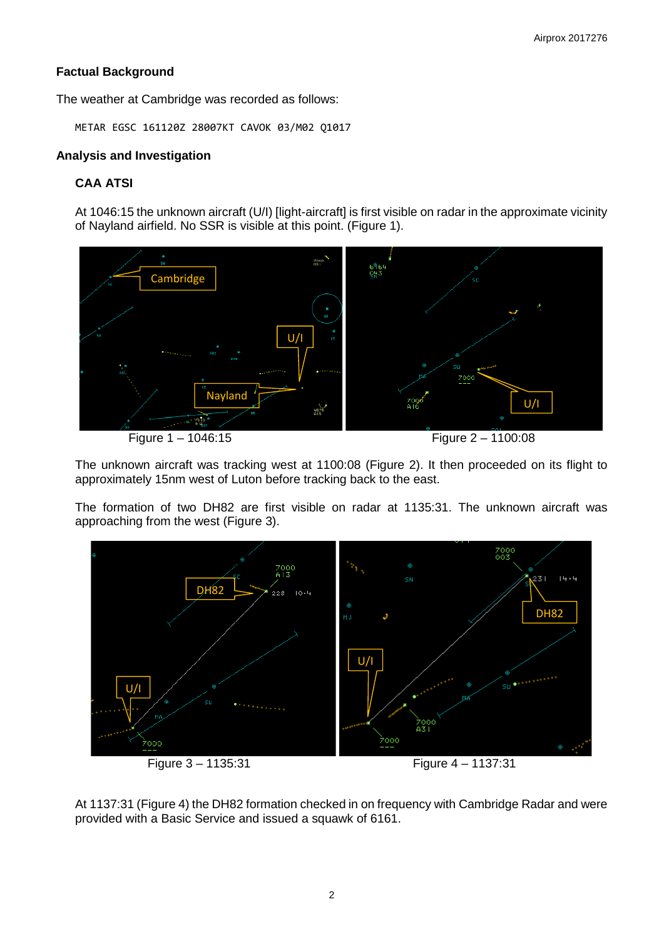## **Factual Background**

The weather at Cambridge was recorded as follows:

METAR EGSC 161120Z 28007KT CAVOK 03/M02 Q1017

### **Analysis and Investigation**

## **CAA ATSI**

At 1046:15 the unknown aircraft (U/I) [light-aircraft] is first visible on radar in the approximate vicinity of Nayland airfield. No SSR is visible at this point. (Figure 1).



The unknown aircraft was tracking west at 1100:08 (Figure 2). It then proceeded on its flight to approximately 15nm west of Luton before tracking back to the east.

The formation of two DH82 are first visible on radar at 1135:31. The unknown aircraft was approaching from the west (Figure 3).



At 1137:31 (Figure 4) the DH82 formation checked in on frequency with Cambridge Radar and were provided with a Basic Service and issued a squawk of 6161.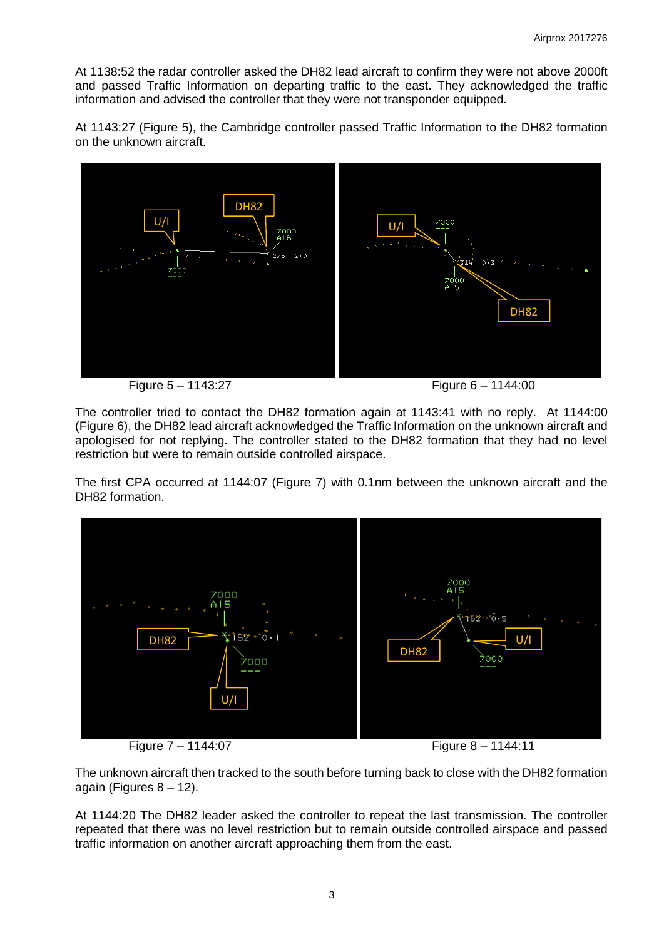At 1138:52 the radar controller asked the DH82 lead aircraft to confirm they were not above 2000ft and passed Traffic Information on departing traffic to the east. They acknowledged the traffic information and advised the controller that they were not transponder equipped.

At 1143:27 (Figure 5), the Cambridge controller passed Traffic Information to the DH82 formation on the unknown aircraft.



Figure 5 – 1143:27 Figure 6 – 1144:00

The controller tried to contact the DH82 formation again at 1143:41 with no reply. At 1144:00 (Figure 6), the DH82 lead aircraft acknowledged the Traffic Information on the unknown aircraft and apologised for not replying. The controller stated to the DH82 formation that they had no level restriction but were to remain outside controlled airspace.

The first CPA occurred at 1144:07 (Figure 7) with 0.1nm between the unknown aircraft and the DH82 formation.



The unknown aircraft then tracked to the south before turning back to close with the DH82 formation again (Figures  $8 - 12$ ).

At 1144:20 The DH82 leader asked the controller to repeat the last transmission. The controller repeated that there was no level restriction but to remain outside controlled airspace and passed traffic information on another aircraft approaching them from the east.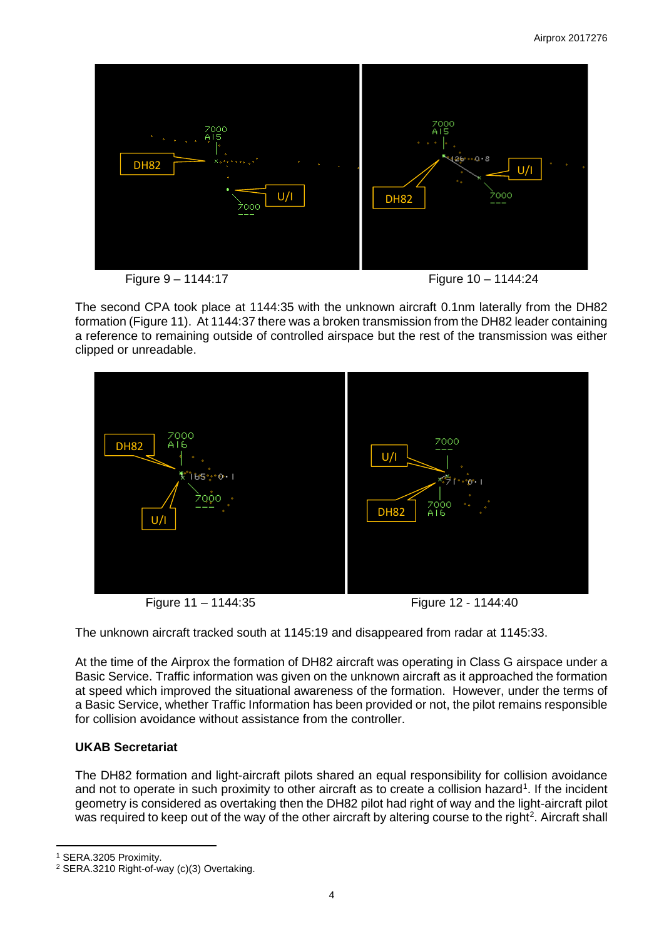

The second CPA took place at 1144:35 with the unknown aircraft 0.1nm laterally from the DH82 formation (Figure 11). At 1144:37 there was a broken transmission from the DH82 leader containing a reference to remaining outside of controlled airspace but the rest of the transmission was either clipped or unreadable.



Figure 11 – 1144:35 Figure 12 - 1144:40

The unknown aircraft tracked south at 1145:19 and disappeared from radar at 1145:33.

At the time of the Airprox the formation of DH82 aircraft was operating in Class G airspace under a Basic Service. Traffic information was given on the unknown aircraft as it approached the formation at speed which improved the situational awareness of the formation. However, under the terms of a Basic Service, whether Traffic Information has been provided or not, the pilot remains responsible for collision avoidance without assistance from the controller.

### **UKAB Secretariat**

The DH82 formation and light-aircraft pilots shared an equal responsibility for collision avoidance and not to operate in such proximity to other aircraft as to create a collision hazard<sup>[1](#page-3-0)</sup>. If the incident geometry is considered as overtaking then the DH82 pilot had right of way and the light-aircraft pilot was required to keep out of the way of the other aircraft by altering course to the right<sup>[2](#page-3-1)</sup>. Aircraft shall

<span id="page-3-0"></span><sup>1</sup> SERA.3205 Proximity.

l

<span id="page-3-1"></span><sup>2</sup> SERA.3210 Right-of-way (c)(3) Overtaking.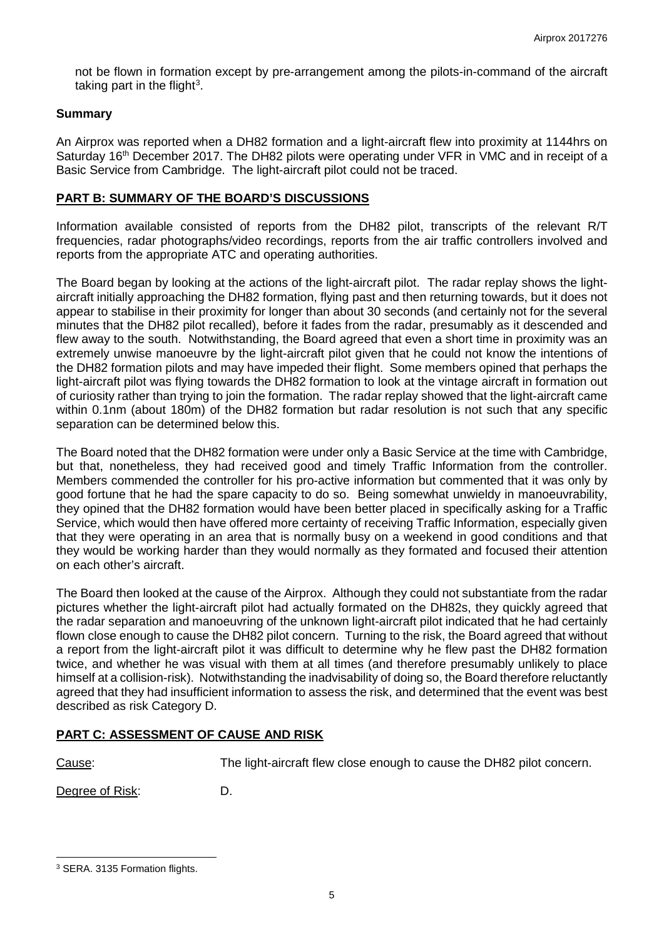not be flown in formation except by pre-arrangement among the pilots-in-command of the aircraft taking part in the flight<sup>[3](#page-4-0)</sup>.

#### **Summary**

An Airprox was reported when a DH82 formation and a light-aircraft flew into proximity at 1144hrs on Saturday 16<sup>th</sup> December 2017. The DH82 pilots were operating under VFR in VMC and in receipt of a Basic Service from Cambridge. The light-aircraft pilot could not be traced.

#### **PART B: SUMMARY OF THE BOARD'S DISCUSSIONS**

Information available consisted of reports from the DH82 pilot, transcripts of the relevant R/T frequencies, radar photographs/video recordings, reports from the air traffic controllers involved and reports from the appropriate ATC and operating authorities.

The Board began by looking at the actions of the light-aircraft pilot. The radar replay shows the lightaircraft initially approaching the DH82 formation, flying past and then returning towards, but it does not appear to stabilise in their proximity for longer than about 30 seconds (and certainly not for the several minutes that the DH82 pilot recalled), before it fades from the radar, presumably as it descended and flew away to the south. Notwithstanding, the Board agreed that even a short time in proximity was an extremely unwise manoeuvre by the light-aircraft pilot given that he could not know the intentions of the DH82 formation pilots and may have impeded their flight. Some members opined that perhaps the light-aircraft pilot was flying towards the DH82 formation to look at the vintage aircraft in formation out of curiosity rather than trying to join the formation. The radar replay showed that the light-aircraft came within 0.1nm (about 180m) of the DH82 formation but radar resolution is not such that any specific separation can be determined below this.

The Board noted that the DH82 formation were under only a Basic Service at the time with Cambridge, but that, nonetheless, they had received good and timely Traffic Information from the controller. Members commended the controller for his pro-active information but commented that it was only by good fortune that he had the spare capacity to do so. Being somewhat unwieldy in manoeuvrability, they opined that the DH82 formation would have been better placed in specifically asking for a Traffic Service, which would then have offered more certainty of receiving Traffic Information, especially given that they were operating in an area that is normally busy on a weekend in good conditions and that they would be working harder than they would normally as they formated and focused their attention on each other's aircraft.

The Board then looked at the cause of the Airprox. Although they could not substantiate from the radar pictures whether the light-aircraft pilot had actually formated on the DH82s, they quickly agreed that the radar separation and manoeuvring of the unknown light-aircraft pilot indicated that he had certainly flown close enough to cause the DH82 pilot concern. Turning to the risk, the Board agreed that without a report from the light-aircraft pilot it was difficult to determine why he flew past the DH82 formation twice, and whether he was visual with them at all times (and therefore presumably unlikely to place himself at a collision-risk). Notwithstanding the inadvisability of doing so, the Board therefore reluctantly agreed that they had insufficient information to assess the risk, and determined that the event was best described as risk Category D.

### **PART C: ASSESSMENT OF CAUSE AND RISK**

 $\overline{\phantom{a}}$ 

Cause: The light-aircraft flew close enough to cause the DH82 pilot concern.

Degree of Risk: D.

<span id="page-4-0"></span><sup>3</sup> SERA. 3135 Formation flights.